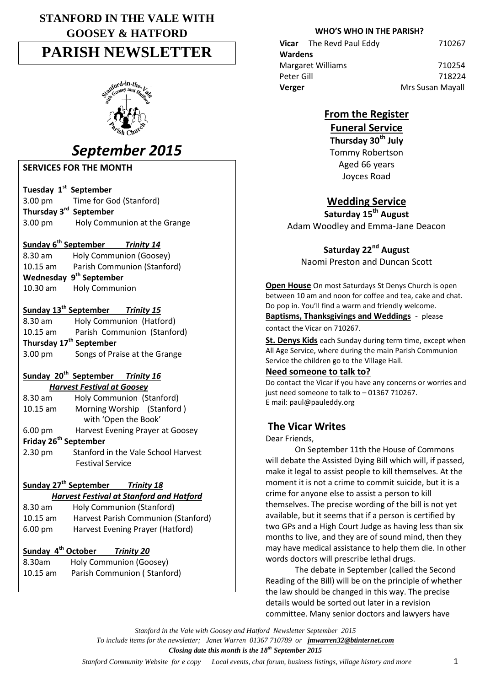# **STANFORD IN THE VALE WITH GOOSEY & HATFORD PARISH NEWSLETTER**



# *September 2015*

**SERVICES FOR THE MONTH**

**Tuesday 1st September**

3.00 pm Time for God (Stanford) **Thursday 3 rd September** 3.00 pm Holy Communion at the Grange

### **Sunday 6th September** *Trinity 14*

8.30 am Holy Communion (Goosey) 10.15 am Parish Communion (Stanford) **Wednesday 9 th September** 10.30 am Holy Communion

### **Sunday 13th September** *Trinity 15*

8.30 am Holy Communion (Hatford) 10.15 am Parish Communion (Stanford) **Thursday 17 th September** 3.00 pm Songs of Praise at the Grange

#### **Sunday 20th September** *Trinity 16 Harvest Festival at Goosey*

| $8.30$ am                         | Holy Communion (Stanford)           |  |
|-----------------------------------|-------------------------------------|--|
| $10.15$ am                        | Morning Worship (Stanford)          |  |
|                                   | with 'Open the Book'                |  |
| $6.00 \text{ pm}$                 | Harvest Evening Prayer at Goosey    |  |
| Friday 26 <sup>th</sup> September |                                     |  |
| 2.30 pm                           | Stanford in the Vale School Harvest |  |
|                                   | <b>Festival Service</b>             |  |

### **Sunday 27th September** *Trinity 18*

*Harvest Festival at Stanford and Hatford*

| 8.30 am           | Holy Communion (Stanford)           |
|-------------------|-------------------------------------|
| $10.15$ am        | Harvest Parish Communion (Stanford) |
| $6.00 \text{ pm}$ | Harvest Evening Prayer (Hatford)    |

### **Sunday 4th October** *Trinity 20*

8.30am Holy Communion (Goosey) 10.15 am Parish Communion ( Stanford)

### **WHO'S WHO IN THE PARISH?**

 **Vicar** The Revd Paul Eddy710267  **Wardens** Margaret Williams 710254 Peter Gill 718224 **Verger Mrs** Susan Mayall

## **From the Register**

# **Funeral Service**

**Thursday 30th July** Tommy Robertson Aged 66 years Joyces Road

# **Wedding Service**

**Saturday 15th August** Adam Woodley and Emma-Jane Deacon

**Saturday 22nd August** Naomi Preston and Duncan Scott

**Open House** On most Saturdays St Denys Church is open between 10 am and noon for coffee and tea, cake and chat. Do pop in. You'll find a warm and friendly welcome.

**Baptisms, Thanksgivings and Weddings** - please contact the Vicar on 710267.

**St. Denys Kids** each Sunday during term time, except when All Age Service, where during the main Parish Communion Service the children go to the Village Hall.

### **Need someone to talk to?**

Do contact the Vicar if you have any concerns or worries and just need someone to talk to – 01367 710267. E mail: paul@pauleddy.org

# **The Vicar Writes**

Dear Friends,

On September 11th the House of Commons will debate the Assisted Dying Bill which will, if passed, make it legal to assist people to kill themselves. At the moment it is not a crime to commit suicide, but it is a crime for anyone else to assist a person to kill themselves. The precise wording of the bill is not yet available, but it seems that if a person is certified by two GPs and a High Court Judge as having less than six months to live, and they are of sound mind, then they may have medical assistance to help them die. In other words doctors will prescribe lethal drugs.

The debate in September (called the Second Reading of the Bill) will be on the principle of whether the law should be changed in this way. The precise details would be sorted out later in a revision committee. Many senior doctors and lawyers have

*Stanford in the Vale with Goosey and Hatford Newsletter September 2015 To include items for the newsletter; Janet Warren 01367 710789 or jmwarren32@btinternet.com Closing date this month is the 18th September 2015*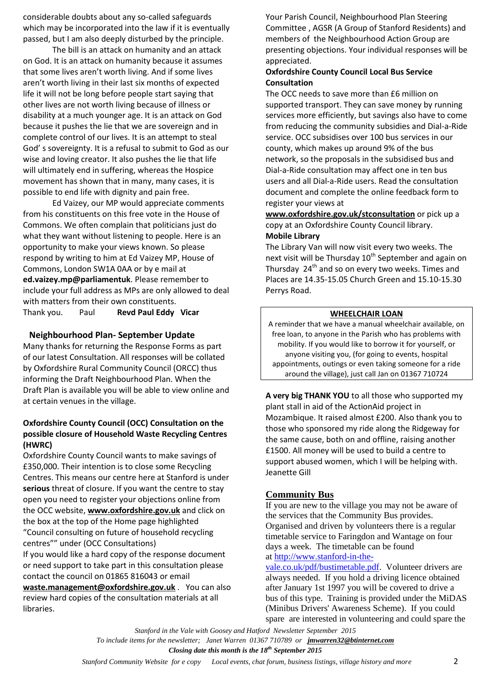considerable doubts about any so-called safeguards which may be incorporated into the law if it is eventually passed, but I am also deeply disturbed by the principle.

The bill is an attack on humanity and an attack on God. It is an attack on humanity because it assumes that some lives aren't worth living. And if some lives aren't worth living in their last six months of expected life it will not be long before people start saying that other lives are not worth living because of illness or disability at a much younger age. It is an attack on God because it pushes the lie that we are sovereign and in complete control of our lives. It is an attempt to steal God' s sovereignty. It is a refusal to submit to God as our wise and loving creator. It also pushes the lie that life will ultimately end in suffering, whereas the Hospice movement has shown that in many, many cases, it is possible to end life with dignity and pain free.

Ed Vaizey, our MP would appreciate comments from his constituents on this free vote in the House of Commons. We often complain that politicians just do what they want without listening to people. Here is an opportunity to make your views known. So please respond by writing to him at Ed Vaizey MP, House of Commons, London SW1A 0AA or by e mail at **ed.vaizey.mp@parliamentuk**. Please remember to include your full address as MPs are only allowed to deal with matters from their own constituents. Thank you. Paul **Revd Paul Eddy Vicar**

#### **Neighbourhood Plan- September Update**

Many thanks for returning the Response Forms as part of our latest Consultation. All responses will be collated by Oxfordshire Rural Community Council (ORCC) thus informing the Draft Neighbourhood Plan. When the Draft Plan is available you will be able to view online and at certain venues in the village.

#### **Oxfordshire County Council (OCC) Consultation on the possible closure of Household Waste Recycling Centres (HWRC)**

Oxfordshire County Council wants to make savings of £350,000. Their intention is to close some Recycling Centres. This means our centre here at Stanford is under **serious** threat of closure. If you want the centre to stay open you need to register your objections online from the OCC website, **[www.oxfordshire.gov.uk](http://www.oxfordshire.gov.uk/)** and click on the box at the top of the Home page highlighted "Council consulting on future of household recycling centres"" under (OCC Consultations) If you would like a hard copy of the response document

or need support to take part in this consultation please contact the council on 01865 816043 or email **[waste.management@oxfordshire.gov.uk](mailto:waste.management@oxfordshire.gov.uk)** . You can also

review hard copies of the consultation materials at all libraries.

Your Parish Council, Neighbourhood Plan Steering Committee , AGSR (A Group of Stanford Residents) and members of the Neighbourhood Action Group are presenting objections. Your individual responses will be appreciated.

#### **Oxfordshire County Council Local Bus Service Consultation**

The OCC needs to save more than £6 million on supported transport. They can save money by running services more efficiently, but savings also have to come from reducing the community subsidies and Dial-a-Ride service. OCC subsidises over 100 bus services in our county, which makes up around 9% of the bus network, so the proposals in the subsidised bus and Dial-a-Ride consultation may affect one in ten bus users and all Dial-a-Ride users. Read the consultation document and complete the online feedback form to register your views at

**[www.oxfordshire.gov.uk/stconsultation](http://www.oxfordshire.gov.uk/stconsultation)** or pick up a copy at an Oxfordshire County Council library. **Mobile Library** 

The Library Van will now visit every two weeks. The next visit will be Thursday  $10^{th}$  September and again on Thursday 24<sup>th</sup> and so on every two weeks. Times and Places are 14.35-15.05 Church Green and 15.10-15.30 Perrys Road.

#### **WHEELCHAIR LOAN**

A reminder that we have a manual wheelchair available, on free loan, to anyone in the Parish who has problems with mobility. If you would like to borrow it for yourself, or anyone visiting you, (for going to events, hospital appointments, outings or even taking someone for a ride around the village), just call Jan on 01367 710724

**A very big THANK YOU** to all those who supported my plant stall in aid of the ActionAid project in Mozambique. It raised almost £200. Also thank you to those who sponsored my ride along the Ridgeway for the same cause, both on and offline, raising another £1500. All money will be used to build a centre to support abused women, which I will be helping with. Jeanette Gill

#### **Community Bus**

If you are new to the village you may not be aware of the services that the Community Bus provides. Organised and driven by volunteers there is a regular timetable service to Faringdon and Wantage on four days a week. The timetable can be found at [http://www.stanford-in-the-](http://www.stanford-in-the-vale.co.uk/pdf/bustimetable.pdf)

[vale.co.uk/pdf/bustimetable.pdf.](http://www.stanford-in-the-vale.co.uk/pdf/bustimetable.pdf) Volunteer drivers are always needed. If you hold a driving licence obtained after January 1st 1997 you will be covered to drive a bus of this type. Training is provided under the MiDAS (Minibus Drivers' Awareness Scheme). If you could spare are interested in volunteering and could spare the

*Stanford in the Vale with Goosey and Hatford Newsletter September 2015 To include items for the newsletter; Janet Warren 01367 710789 or jmwarren32@btinternet.com Closing date this month is the 18th September 2015*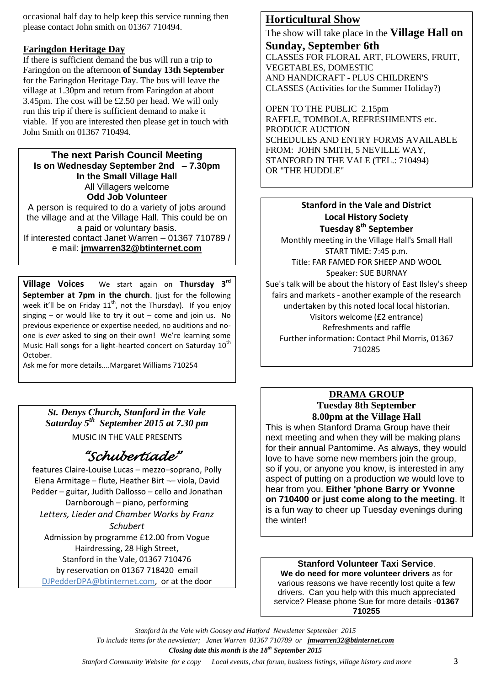occasional half day to help keep this service running then please contact John smith on 01367 710494.

### **Faringdon Heritage Day**

If there is sufficient demand the bus will run a trip to Faringdon on the afternoon **of Sunday 13th September** for the Faringdon Heritage Day. The bus will leave the village at 1.30pm and return from Faringdon at about 3.45pm. The cost will be £2.50 per head. We will only run this trip if there is sufficient demand to make it viable. If you are interested then please get in touch with John Smith on 01367 710494.

### **The next Parish Council Meeting Is on Wednesday September 2nd – 7.30pm In the Small Village Hall** All Villagers welcome **Odd Job Volunteer**

A person is required to do a variety of jobs around the village and at the Village Hall. This could be on a paid or voluntary basis.

If interested contact Janet Warren – 01367 710789 / e mail: **[jmwarren32@btinternet.com](mailto:jmwarren32@btinternet.com)**

**Village Voices** We start again on **Thursday 3rd September at 7pm in the church.** (just for the following week it'll be on Friday  $11^{th}$ , not the Thursday). If you enjoy singing – or would like to try it out – come and join us. No previous experience or expertise needed, no auditions and noone is *ever* asked to sing on their own! We're learning some Music Hall songs for a light-hearted concert on Saturday  $10<sup>th</sup>$ October.

Ask me for more details....Margaret Williams 710254

*St. Denys Church, Stanford in the Vale Saturday 5th September 2015 at 7.30 pm* MUSIC IN THE VALE PRESENTS

# *"Schubertiade"*

features Claire-Louise Lucas – mezzo–soprano, Polly Elena Armitage – flute, Heather Birt ¬– viola, David Pedder – guitar, Judith Dallosso – cello and Jonathan Darnborough – piano, performing *Letters, Lieder and Chamber Works by Franz Schubert*  Admission by programme £12.00 from Vogue Hairdressing, 28 High Street, Stanford in the Vale, 01367 710476 by reservation on 01367 718420 email

[DJPedderDPA@btinternet.com,](mailto:DJPedderDPA@btinternet.com) or at the door

### **Horticultural Show**

The show will take place in the **Village Hall on Sunday, September 6th** CLASSES FOR FLORAL ART, FLOWERS, FRUIT, VEGETABLES, DOMESTIC AND HANDICRAFT - PLUS CHILDREN'S CLASSES (Activities for the Summer Holiday?)

OPEN TO THE PUBLIC 2.15pm RAFFLE, TOMBOLA, REFRESHMENTS etc. PRODUCE AUCTION SCHEDULES AND ENTRY FORMS AVAILABLE FROM: JOHN SMITH, 5 NEVILLE WAY, STANFORD IN THE VALE (TEL.: 710494) OR "THE HUDDLE"

#### **Stanford in the Vale and District Local History Society Tuesday 8th September**

Monthly meeting in the Village Hall's Small Hall START TIME: 7:45 p.m. Title: FAR FAMED FOR SHEEP AND WOOL Speaker: SUE BURNAY Sue's talk will be about the history of East Ilsley's sheep fairs and markets - another example of the research undertaken by this noted local local historian. Visitors welcome (£2 entrance) Refreshments and raffle Further information: Contact Phil Morris, 01367 710285

### **DRAMA GROUP Tuesday 8th September 8.00pm at the Village Hall**

This is when Stanford Drama Group have their next meeting and when they will be making plans for their annual Pantomime. As always, they would love to have some new members join the group, so if you, or anyone you know, is interested in any aspect of putting on a production we would love to hear from you. **Either 'phone Barry or Yvonne on 710400 or just come along to the meeting**. It is a fun way to cheer up Tuesday evenings during the winter!

#### **Stanford Volunteer Taxi Service**. **We do need for more volunteer drivers** as for various reasons we have recently lost quite a few drivers. Can you help with this much appreciated service? Please phone Sue for more details -**01367 710255**

*Stanford in the Vale with Goosey and Hatford Newsletter September 2015 To include items for the newsletter; Janet Warren 01367 710789 or jmwarren32@btinternet.com Closing date this month is the 18th September 2015*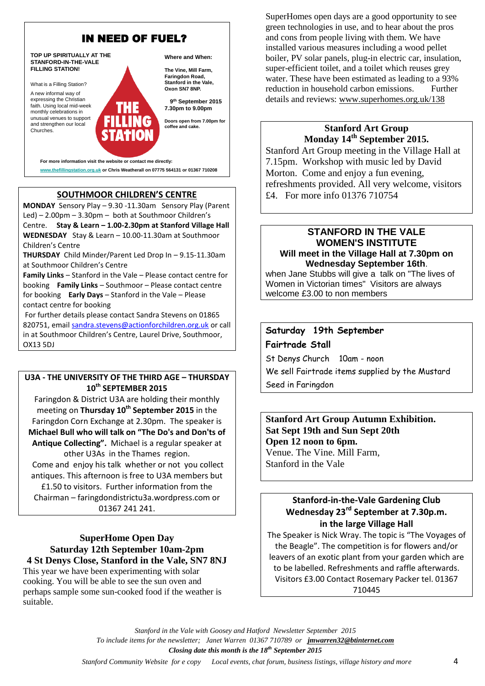

### **SOUTHMOOR CHILDREN'S CENTRE**

**MONDAY** Sensory Play – 9.30 -11.30am Sensory Play (Parent Led) – 2.00pm – 3.30pm – both at Southmoor Children's Centre. **Stay & Learn – 1.00-2.30pm at Stanford Village Hall WEDNESDAY** Stay & Learn – 10.00-11.30am at Southmoor Children's Centre

**THURSDAY** Child Minder/Parent Led Drop In – 9.15-11.30am at Southmoor Children's Centre

**Family Links** – Stanford in the Vale – Please contact centre for booking **Family Links** – Southmoor – Please contact centre for booking **Early Days** – Stanford in the Vale – Please contact centre for booking

For further details please contact Sandra Stevens on 01865 820751, email [sandra.stevens@actionforchildren.org.uk](mailto:sandra.stevens@actionforchildren.org.uk) or call in at Southmoor Children's Centre, Laurel Drive, Southmoor, OX13 5DJ

#### **U3A - THE UNIVERSITY OF THE THIRD AGE – THURSDAY 10th SEPTEMBER 2015**

Faringdon & District U3A are holding their monthly meeting on **Thursday 10th September 2015** in the Faringdon Corn Exchange at 2.30pm. The speaker is **Michael Bull who will talk on "The Do's and Don'ts of Antique Collecting".** Michael is a regular speaker at other U3As in the Thames region. Come and enjoy his talk whether or not you collect antiques. This afternoon is free to U3A members but £1.50 to visitors. Further information from the Chairman – faringdondistrictu3a.wordpress.com or 01367 241 241.

#### **SuperHome Open Day Saturday 12th September 10am-2pm 4 St Denys Close, Stanford in the Vale, SN7 8NJ**

This year we have been experimenting with solar cooking. You will be able to see the sun oven and perhaps sample some sun-cooked food if the weather is suitable.

SuperHomes open days are a good opportunity to see green technologies in use, and to hear about the pros and cons from people living with them. We have installed various measures including a wood pellet boiler, PV solar panels, plug-in electric car, insulation, super-efficient toilet, and a toilet which reuses grey water. These have been estimated as leading to a 93% reduction in household carbon emissions. Further details and reviews: [www.superhomes.org.uk/138](http://www.superhomes.org.uk/138)

#### **Stanford Art Group Monday 14th September 2015.**

Stanford Art Group meeting in the Village Hall at 7.15pm. Workshop with music led by David Morton. Come and enjoy a fun evening, refreshments provided. All very welcome, visitors £4. For more info 01376 710754

#### **STANFORD IN THE VALE WOMEN'S INSTITUTE Will meet in the Village Hall at 7.30pm on Wednesday September 16th**.

when Jane Stubbs will give a talk on "The lives of Women in Victorian times" Visitors are always welcome £3.00 to non members

### **Saturday 19th September Fairtrade Stall**

St Denys Church 10am - noon We sell Fairtrade items supplied by the Mustard Seed in Faringdon

#### **Stanford Art Group Autumn Exhibition. Sat Sept 19th and Sun Sept 20th Open 12 noon to 6pm.** Venue. The Vine. Mill Farm, Stanford in the Vale

### **Stanford-in-the-Vale Gardening Club Wednesday 23rd September at 7.30p.m. in the large Village Hall**

The Speaker is Nick Wray. The topic is "The Voyages of the Beagle". The competition is for flowers and/or leavers of an exotic plant from your garden which are to be labelled. Refreshments and raffle afterwards. Visitors £3.00 Contact Rosemary Packer tel. 01367 710445

*Stanford in the Vale with Goosey and Hatford Newsletter September 2015 To include items for the newsletter; Janet Warren 01367 710789 or jmwarren32@btinternet.com Closing date this month is the 18th September 2015*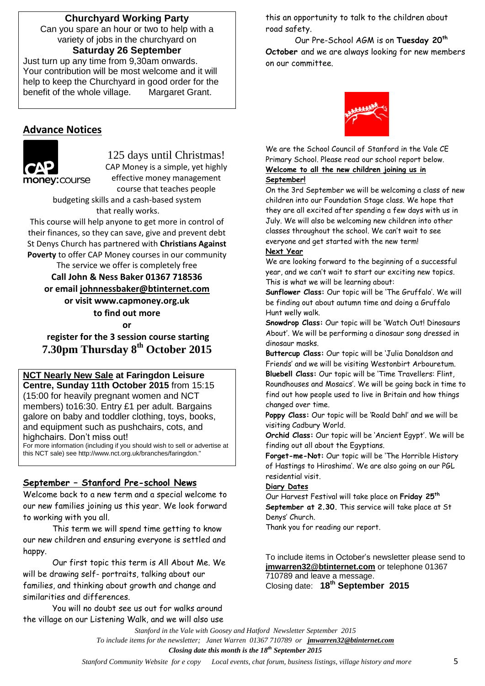### **Churchyard Working Party**

Can you spare an hour or two to help with a variety of jobs in the churchyard on **Saturday 26 September**

Just turn up any time from 9,30am onwards. Your contribution will be most welcome and it will help to keep the Churchyard in good order for the benefit of the whole village. Margaret Grant.

### **Advance Notices**



125 days until Christmas! CAP Money is a simple, yet highly effective money management course that teaches people

budgeting skills and a cash-based system that really works.

This course will help anyone to get more in control of their finances, so they can save, give and prevent debt St Denys Church has partnered with **Christians Against Poverty** to offer CAP Money courses in our community

The service we offer is completely free **Call John & Ness Baker 01367 718536 or email [johnnessbaker@btinternet.com](mailto:johnnessbaker@btinternet.com) or visit www.capmoney.org.uk to find out more or**

**register for the 3 session course starting 7.30pm Thursday 8th October 2015**

### **NCT Nearly New Sale at Faringdon Leisure**

**Centre, Sunday 11th October 2015** from 15:15 (15:00 for heavily pregnant women and NCT members) to16:30. Entry £1 per adult. Bargains galore on baby and toddler clothing, toys, books, and equipment such as pushchairs, cots, and highchairs. Don't miss out!

For more information (including if you should wish to sell or advertise at this NCT sale) see http://www.nct.org.uk/branches/faringdon."

#### **September – Stanford Pre-school News**

Welcome back to a new term and a special welcome to our new families joining us this year. We look forward to working with you all.

This term we will spend time getting to know our new children and ensuring everyone is settled and happy.

Our first topic this term is All About Me. We will be drawing self- portraits, talking about our families, and thinking about growth and change and similarities and differences.

You will no doubt see us out for walks around the village on our Listening Walk, and we will also use this an opportunity to talk to the children about road safety.

Our Pre-School AGM is on **Tuesday 20th October** and we are always looking for new members on our committee.



We are the School Council of Stanford in the Vale CE Primary School. Please read our school report below. **Welcome to all the new children joining us in September!**

On the 3rd September we will be welcoming a class of new children into our Foundation Stage class. We hope that they are all excited after spending a few days with us in July. We will also be welcoming new children into other classes throughout the school. We can't wait to see everyone and get started with the new term!

#### **Next Year**

We are looking forward to the beginning of a successful year, and we can't wait to start our exciting new topics. This is what we will be learning about:

**Sunflower Class:** Our topic will be 'The Gruffalo'. We will be finding out about autumn time and doing a Gruffalo Hunt welly walk.

**Snowdrop Class:** Our topic will be 'Watch Out! Dinosaurs About'. We will be performing a dinosaur song dressed in dinosaur masks.

**Buttercup Class:** Our topic will be 'Julia Donaldson and Friends' and we will be visiting Westonbirt Arbouretum. **Bluebell Class:** Our topic will be 'Time Travellers: Flint, Roundhouses and Mosaics'. We will be going back in time to find out how people used to live in Britain and how things changed over time.

**Poppy Class:** Our topic will be 'Roald Dahl' and we will be visiting Cadbury World.

**Orchid Class:** Our topic will be 'Ancient Egypt'. We will be finding out all about the Egyptians.

**Forget-me-Not:** Our topic will be 'The Horrible History of Hastings to Hiroshima'. We are also going on our PGL residential visit.

#### **Diary Dates**

Our Harvest Festival will take place on **Friday 25th September at 2.30.** This service will take place at St Denys' Church.

Thank you for reading our report.

To include items in October's newsletter please send to **[jmwarren32@btinternet.com](mailto:jmwarren32@btinternet.com)** or telephone 01367 710789 and leave a message. Closing date: **18th September 2015** 

*Stanford in the Vale with Goosey and Hatford Newsletter September 2015 To include items for the newsletter; Janet Warren 01367 710789 or jmwarren32@btinternet.com Closing date this month is the 18th September 2015*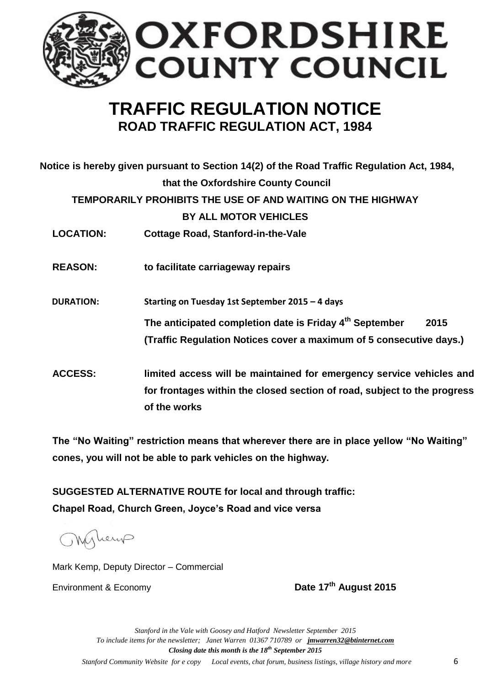

# **TRAFFIC REGULATION NOTICE ROAD TRAFFIC REGULATION ACT, 1984**

|                  | Notice is hereby given pursuant to Section 14(2) of the Road Traffic Regulation Act, 1984,                                                                       |
|------------------|------------------------------------------------------------------------------------------------------------------------------------------------------------------|
|                  | that the Oxfordshire County Council                                                                                                                              |
|                  | TEMPORARILY PROHIBITS THE USE OF AND WAITING ON THE HIGHWAY                                                                                                      |
|                  | <b>BY ALL MOTOR VEHICLES</b>                                                                                                                                     |
| <b>LOCATION:</b> | <b>Cottage Road, Stanford-in-the-Vale</b>                                                                                                                        |
| <b>REASON:</b>   | to facilitate carriageway repairs                                                                                                                                |
| <b>DURATION:</b> | Starting on Tuesday 1st September 2015 - 4 days                                                                                                                  |
|                  | The anticipated completion date is Friday 4 <sup>th</sup> September<br>2015                                                                                      |
|                  | (Traffic Regulation Notices cover a maximum of 5 consecutive days.)                                                                                              |
| <b>ACCESS:</b>   | limited access will be maintained for emergency service vehicles and<br>for frontages within the closed section of road, subject to the progress<br>of the works |

**The "No Waiting" restriction means that wherever there are in place yellow "No Waiting" cones, you will not be able to park vehicles on the highway.** 

**SUGGESTED ALTERNATIVE ROUTE for local and through traffic: Chapel Road, Church Green, Joyce's Road and vice versa**

Myleup

Mark Kemp, Deputy Director – Commercial

Environment & Economy **Date 17th August 2015**